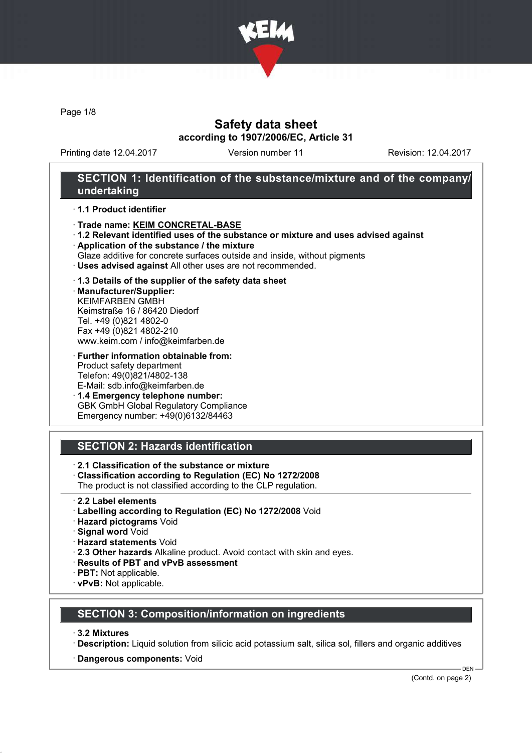

Page 1/8

#### Safety data sheet according to 1907/2006/EC, Article 31

Printing date 12.04.2017 Version number 11 Revision: 12.04.2017

#### SECTION 1: Identification of the substance/mixture and of the company/ undertaking

#### · 1.1 Product identifier

- · Trade name: KEIM CONCRETAL-BASE
- · 1.2 Relevant identified uses of the substance or mixture and uses advised against
- · Application of the substance / the mixture
- Glaze additive for concrete surfaces outside and inside, without pigments
- · Uses advised against All other uses are not recommended.

#### · 1.3 Details of the supplier of the safety data sheet

· Manufacturer/Supplier: KEIMFARBEN GMBH Keimstraße 16 / 86420 Diedorf Tel. +49 (0)821 4802-0 Fax +49 (0)821 4802-210 www.keim.com / info@keimfarben.de

· Further information obtainable from: Product safety department Telefon: 49(0)821/4802-138 E-Mail: sdb.info@keimfarben.de

· 1.4 Emergency telephone number: GBK GmbH Global Regulatory Compliance Emergency number: +49(0)6132/84463

## SECTION 2: Hazards identification

· 2.1 Classification of the substance or mixture

- · Classification according to Regulation (EC) No 1272/2008
- The product is not classified according to the CLP regulation.
- · 2.2 Label elements
- · Labelling according to Regulation (EC) No 1272/2008 Void
- · Hazard pictograms Void
- · Signal word Void
- · Hazard statements Void
- · 2.3 Other hazards Alkaline product. Avoid contact with skin and eyes.
- · Results of PBT and vPvB assessment
- · PBT: Not applicable.
- · vPvB: Not applicable.

## SECTION 3: Composition/information on ingredients

- · 3.2 Mixtures
- · Description: Liquid solution from silicic acid potassium salt, silica sol, fillers and organic additives
- · Dangerous components: Void

(Contd. on page 2)

DEN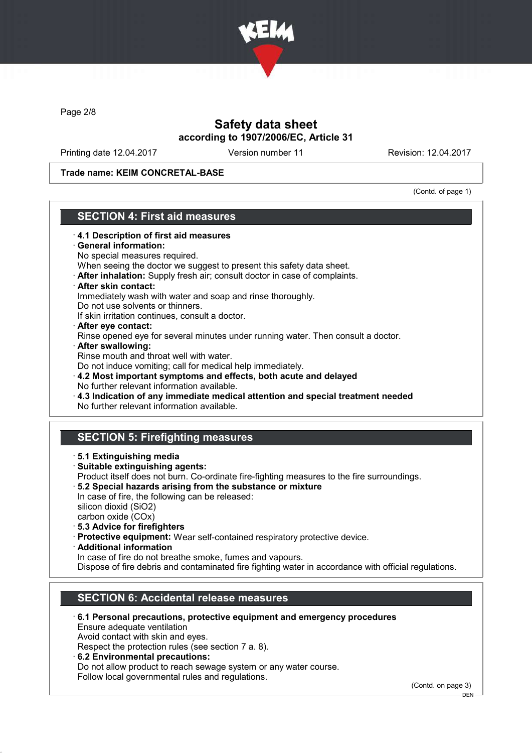

Page 2/8

## Safety data sheet according to 1907/2006/EC, Article 31

Printing date 12.04.2017 Version number 11 Revision: 12.04.2017

Trade name: KEIM CONCRETAL-BASE

(Contd. of page 1)

## SECTION 4: First aid measures

- · 4.1 Description of first aid measures · General information: No special measures required. When seeing the doctor we suggest to present this safety data sheet. · After inhalation: Supply fresh air; consult doctor in case of complaints. · After skin contact: Immediately wash with water and soap and rinse thoroughly. Do not use solvents or thinners. If skin irritation continues, consult a doctor. · After eye contact: Rinse opened eye for several minutes under running water. Then consult a doctor. · After swallowing: Rinse mouth and throat well with water. Do not induce vomiting; call for medical help immediately. · 4.2 Most important symptoms and effects, both acute and delayed No further relevant information available. · 4.3 Indication of any immediate medical attention and special treatment needed No further relevant information available. SECTION 5: Firefighting measures · 5.1 Extinguishing media · Suitable extinguishing agents: Product itself does not burn. Co-ordinate fire-fighting measures to the fire surroundings. · 5.2 Special hazards arising from the substance or mixture In case of fire, the following can be released: silicon dioxid (SiO2) carbon oxide (COx) · 5.3 Advice for firefighters · Protective equipment: Wear self-contained respiratory protective device. · Additional information In case of fire do not breathe smoke, fumes and vapours. Dispose of fire debris and contaminated fire fighting water in accordance with official regulations. SECTION 6: Accidental release measures · 6.1 Personal precautions, protective equipment and emergency procedures
	- Ensure adequate ventilation

Avoid contact with skin and eyes.

Respect the protection rules (see section 7 a. 8).

· 6.2 Environmental precautions: Do not allow product to reach sewage system or any water course. Follow local governmental rules and regulations.

(Contd. on page 3)

 $-$  DEN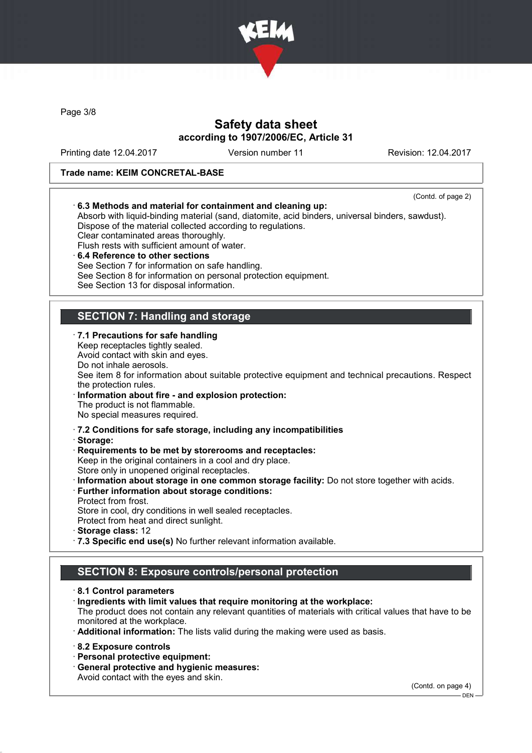

Page 3/8

## Safety data sheet according to 1907/2006/EC, Article 31

Printing date 12.04.2017 Version number 11 Revision: 12.04.2017

#### Trade name: KEIM CONCRETAL-BASE

(Contd. of page 2) · 6.3 Methods and material for containment and cleaning up: Absorb with liquid-binding material (sand, diatomite, acid binders, universal binders, sawdust). Dispose of the material collected according to regulations. Clear contaminated areas thoroughly. Flush rests with sufficient amount of water. 6.4 Reference to other sections See Section 7 for information on safe handling. See Section 8 for information on personal protection equipment. See Section 13 for disposal information. SECTION 7: Handling and storage · 7.1 Precautions for safe handling Keep receptacles tightly sealed. Avoid contact with skin and eyes. Do not inhale aerosols. See item 8 for information about suitable protective equipment and technical precautions. Respect the protection rules. Information about fire - and explosion protection: The product is not flammable. No special measures required. · 7.2 Conditions for safe storage, including any incompatibilities · Storage: · Requirements to be met by storerooms and receptacles: Keep in the original containers in a cool and dry place. Store only in unopened original receptacles. · Information about storage in one common storage facility: Do not store together with acids. · Further information about storage conditions: Protect from frost. Store in cool, dry conditions in well sealed receptacles. Protect from heat and direct sunlight. · Storage class: 12 · 7.3 Specific end use(s) No further relevant information available. SECTION 8: Exposure controls/personal protection

· 8.1 Control parameters

· Ingredients with limit values that require monitoring at the workplace:

The product does not contain any relevant quantities of materials with critical values that have to be monitored at the workplace.

· Additional information: The lists valid during the making were used as basis.

· 8.2 Exposure controls

· Personal protective equipment:

· General protective and hygienic measures:

Avoid contact with the eyes and skin.

(Contd. on page 4)

DEN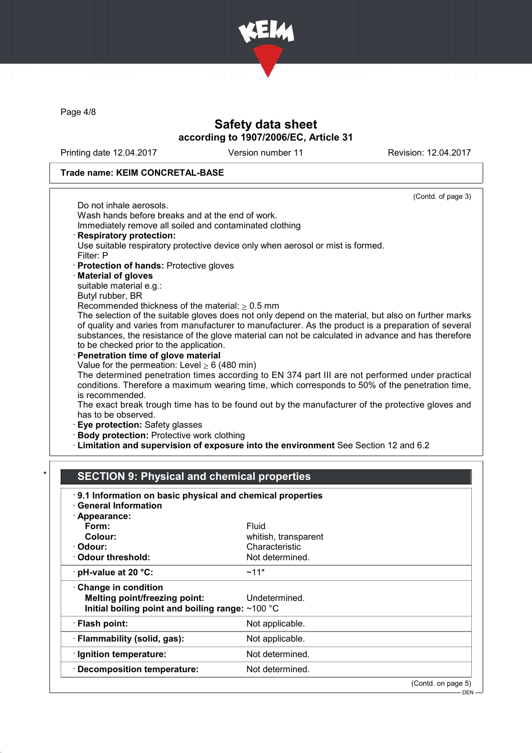

Page 4/8

## Safety data sheet according to 1907/2006/EC, Article 31

Printing date 12.04.2017 Version number 11 Revision: 12.04.2017

#### Trade name: KEIM CONCRETAL-BASE

| (Contd. of page 3)                                                                                   |
|------------------------------------------------------------------------------------------------------|
| Do not inhale aerosols.                                                                              |
| Wash hands before breaks and at the end of work.                                                     |
| Immediately remove all soiled and contaminated clothing                                              |
| <b>Respiratory protection:</b>                                                                       |
| Use suitable respiratory protective device only when aerosol or mist is formed.                      |
| Filter: P                                                                                            |
| · Protection of hands: Protective gloves                                                             |
| · Material of gloves                                                                                 |
| suitable material e.g.:                                                                              |
| Butyl rubber, BR                                                                                     |
| Recommended thickness of the material: $\geq 0.5$ mm                                                 |
| The selection of the suitable gloves does not only depend on the material, but also on further marks |
| of quality and varies from manufacturer to manufacturer. As the product is a preparation of several  |
| substances, the resistance of the glove material can not be calculated in advance and has therefore  |
| to be checked prior to the application.                                                              |
| Penetration time of glove material                                                                   |
| Value for the permeation: Level $\geq 6$ (480 min)                                                   |
| The determined penetration times according to EN 374 part III are not performed under practical      |
| conditions. Therefore a maximum wearing time, which corresponds to 50% of the penetration time,      |
| is recommended.                                                                                      |
| The exact break trough time has to be found out by the manufacturer of the protective gloves and     |
| has to be observed.                                                                                  |
| · Eye protection: Safety glasses                                                                     |
| · Body protection: Protective work clothing                                                          |
| Elmitation and supervision of exposure into the environment See Section 12 and 6.2                   |

# SECTION 9: Physical and chemical properties

| 9.1 Information on basic physical and chemical properties<br><b>General Information</b>                                  |                      |                    |
|--------------------------------------------------------------------------------------------------------------------------|----------------------|--------------------|
| · Appearance:                                                                                                            |                      |                    |
| Form:                                                                                                                    | Fluid                |                    |
| Colour:                                                                                                                  | whitish, transparent |                    |
| · Odour:                                                                                                                 | Characteristic       |                    |
| $\cdot$ Odour threshold:                                                                                                 | Not determined.      |                    |
| $\cdot$ pH-value at 20 °C:                                                                                               | $~11*$               |                    |
| <b>Change in condition</b><br><b>Melting point/freezing point:</b><br>Initial boiling point and boiling range: $~100$ °C | Undetermined.        |                    |
| · Flash point:                                                                                                           | Not applicable.      |                    |
| · Flammability (solid, gas):                                                                                             | Not applicable.      |                    |
| · Ignition temperature:                                                                                                  | Not determined.      |                    |
| · Decomposition temperature:                                                                                             | Not determined.      |                    |
|                                                                                                                          |                      | (Contd. on page 5) |

DEN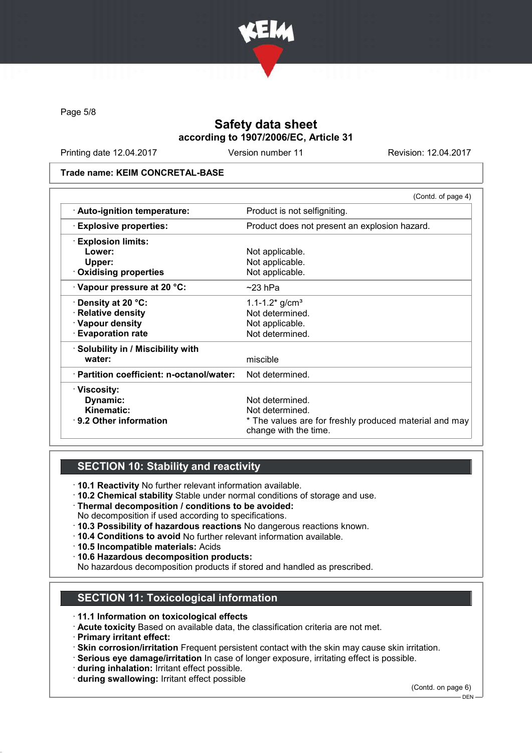

Page 5/8

## Safety data sheet according to 1907/2006/EC, Article 31

Printing date 12.04.2017 Version number 11 Revision: 12.04.2017

#### Trade name: KEIM CONCRETAL-BASE

|                                           | (Contd. of page 4)                                                              |  |
|-------------------------------------------|---------------------------------------------------------------------------------|--|
| · Auto-ignition temperature:              | Product is not selfigniting.                                                    |  |
| <b>Explosive properties:</b>              | Product does not present an explosion hazard.                                   |  |
| <b>Explosion limits:</b>                  |                                                                                 |  |
| Lower:                                    | Not applicable.                                                                 |  |
| Upper:                                    | Not applicable.                                                                 |  |
| . Oxidising properties                    | Not applicable.                                                                 |  |
| $\cdot$ Vapour pressure at 20 °C:         | $~23$ hPa                                                                       |  |
| $\cdot$ Density at 20 °C:                 | 1.1-1.2 $*$ g/cm <sup>3</sup>                                                   |  |
| · Relative density                        | Not determined.                                                                 |  |
| · Vapour density                          | Not applicable.                                                                 |  |
| <b>Evaporation rate</b>                   | Not determined.                                                                 |  |
| · Solubility in / Miscibility with        |                                                                                 |  |
| water:                                    | miscible                                                                        |  |
| · Partition coefficient: n-octanol/water: | Not determined.                                                                 |  |
| · Viscosity:                              |                                                                                 |  |
| Dynamic:                                  | Not determined.                                                                 |  |
| Kinematic:                                | Not determined.                                                                 |  |
| $\cdot$ 9.2 Other information             | * The values are for freshly produced material and may<br>change with the time. |  |

## SECTION 10: Stability and reactivity

- · 10.1 Reactivity No further relevant information available.
- · 10.2 Chemical stability Stable under normal conditions of storage and use.
- · Thermal decomposition / conditions to be avoided:
- No decomposition if used according to specifications.
- · 10.3 Possibility of hazardous reactions No dangerous reactions known.
- · 10.4 Conditions to avoid No further relevant information available.
- · 10.5 Incompatible materials: Acids
- · 10.6 Hazardous decomposition products:
- No hazardous decomposition products if stored and handled as prescribed.

## SECTION 11: Toxicological information

- · 11.1 Information on toxicological effects
- · Acute toxicity Based on available data, the classification criteria are not met.
- · Primary irritant effect:
- · Skin corrosion/irritation Frequent persistent contact with the skin may cause skin irritation.
- · Serious eye damage/irritation In case of longer exposure, irritating effect is possible.
- · during inhalation: Irritant effect possible.
- · during swallowing: Irritant effect possible

(Contd. on page 6)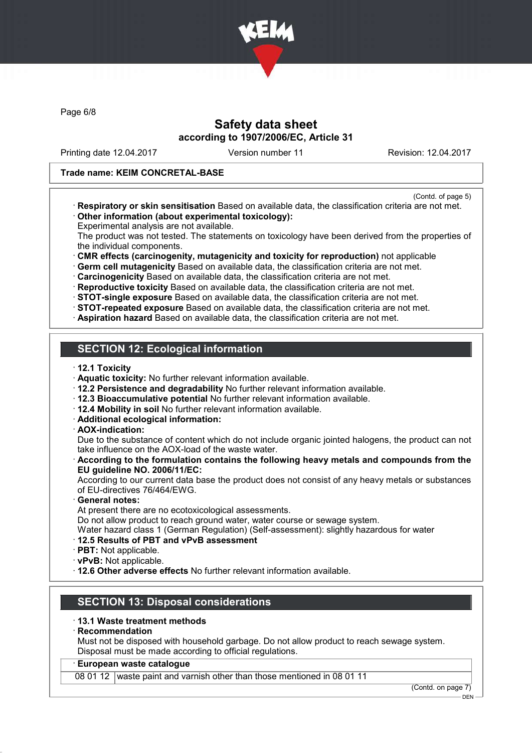

Page 6/8

#### Safety data sheet according to 1907/2006/EC, Article 31

Printing date 12.04.2017 Version number 11 Revision: 12.04.2017

#### Trade name: KEIM CONCRETAL-BASE

- (Contd. of page 5)
- · Respiratory or skin sensitisation Based on available data, the classification criteria are not met. · Other information (about experimental toxicology):
- Experimental analysis are not available.

The product was not tested. The statements on toxicology have been derived from the properties of the individual components.

· CMR effects (carcinogenity, mutagenicity and toxicity for reproduction) not applicable

· Germ cell mutagenicity Based on available data, the classification criteria are not met.

· Carcinogenicity Based on available data, the classification criteria are not met.

· Reproductive toxicity Based on available data, the classification criteria are not met.

· STOT-single exposure Based on available data, the classification criteria are not met.

- · STOT-repeated exposure Based on available data, the classification criteria are not met.
- · Aspiration hazard Based on available data, the classification criteria are not met.

## SECTION 12: Ecological information

- · 12.1 Toxicity
- · Aquatic toxicity: No further relevant information available.
- · 12.2 Persistence and degradability No further relevant information available.
- · 12.3 Bioaccumulative potential No further relevant information available.
- · 12.4 Mobility in soil No further relevant information available.
- · Additional ecological information:
- · AOX-indication:

Due to the substance of content which do not include organic jointed halogens, the product can not take influence on the AOX-load of the waste water.

· According to the formulation contains the following heavy metals and compounds from the EU guideline NO. 2006/11/EC:

According to our current data base the product does not consist of any heavy metals or substances of EU-directives 76/464/EWG.

General notes:

At present there are no ecotoxicological assessments.

Do not allow product to reach ground water, water course or sewage system.

Water hazard class 1 (German Regulation) (Self-assessment): slightly hazardous for water

- · 12.5 Results of PBT and vPvB assessment
- · PBT: Not applicable.
- · vPvB: Not applicable.
- · 12.6 Other adverse effects No further relevant information available.

## SECTION 13: Disposal considerations

· 13.1 Waste treatment methods

#### **Recommendation**

Must not be disposed with household garbage. Do not allow product to reach sewage system. Disposal must be made according to official regulations.

#### · European waste catalogue

08 01 12 waste paint and varnish other than those mentioned in 08 01 11

(Contd. on page 7)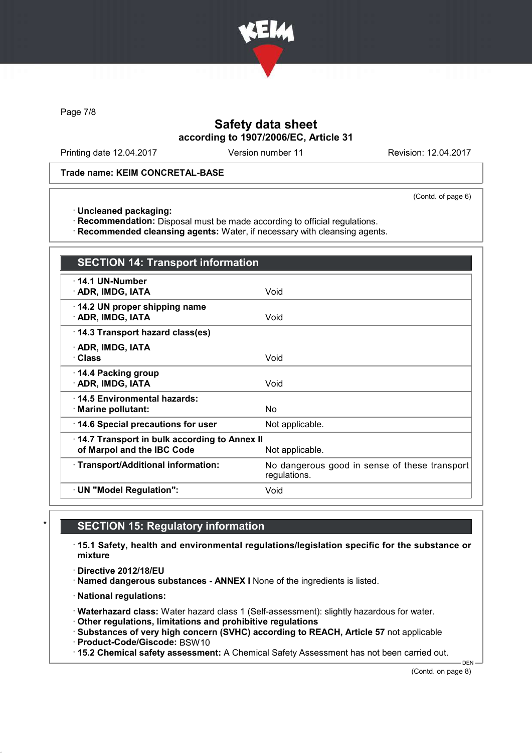

Page 7/8

## Safety data sheet according to 1907/2006/EC, Article 31

Printing date 12.04.2017 Version number 11 Revision: 12.04.2017

#### Trade name: KEIM CONCRETAL-BASE

(Contd. of page 6)

· Uncleaned packaging:

· Recommendation: Disposal must be made according to official regulations.

· Recommended cleansing agents: Water, if necessary with cleansing agents.

| <b>SECTION 14: Transport information</b>                                                      |                                                               |  |
|-----------------------------------------------------------------------------------------------|---------------------------------------------------------------|--|
| $\cdot$ 14.1 UN-Number<br>· ADR, IMDG, IATA                                                   | Void                                                          |  |
| 14.2 UN proper shipping name<br>· ADR, IMDG, IATA                                             | Void                                                          |  |
| 14.3 Transport hazard class(es)                                                               |                                                               |  |
| · ADR, IMDG, IATA<br>· Class                                                                  | Void                                                          |  |
| 14.4 Packing group<br>· ADR, IMDG, IATA                                                       | Void                                                          |  |
| 14.5 Environmental hazards:<br>· Marine pollutant:                                            | No                                                            |  |
| 14.6 Special precautions for user                                                             | Not applicable.                                               |  |
| 14.7 Transport in bulk according to Annex II<br>of Marpol and the IBC Code<br>Not applicable. |                                                               |  |
| · Transport/Additional information:                                                           | No dangerous good in sense of these transport<br>regulations. |  |
| · UN "Model Regulation":                                                                      | Void                                                          |  |

### **SECTION 15: Regulatory information**

· 15.1 Safety, health and environmental regulations/legislation specific for the substance or mixture

· Directive 2012/18/EU

· Named dangerous substances - ANNEX I None of the ingredients is listed.

· National regulations:

· Waterhazard class: Water hazard class 1 (Self-assessment): slightly hazardous for water.

· Other regulations, limitations and prohibitive regulations

· Substances of very high concern (SVHC) according to REACH, Article 57 not applicable

· Product-Code/Giscode: BSW10

· 15.2 Chemical safety assessment: A Chemical Safety Assessment has not been carried out.

(Contd. on page 8)

DEN